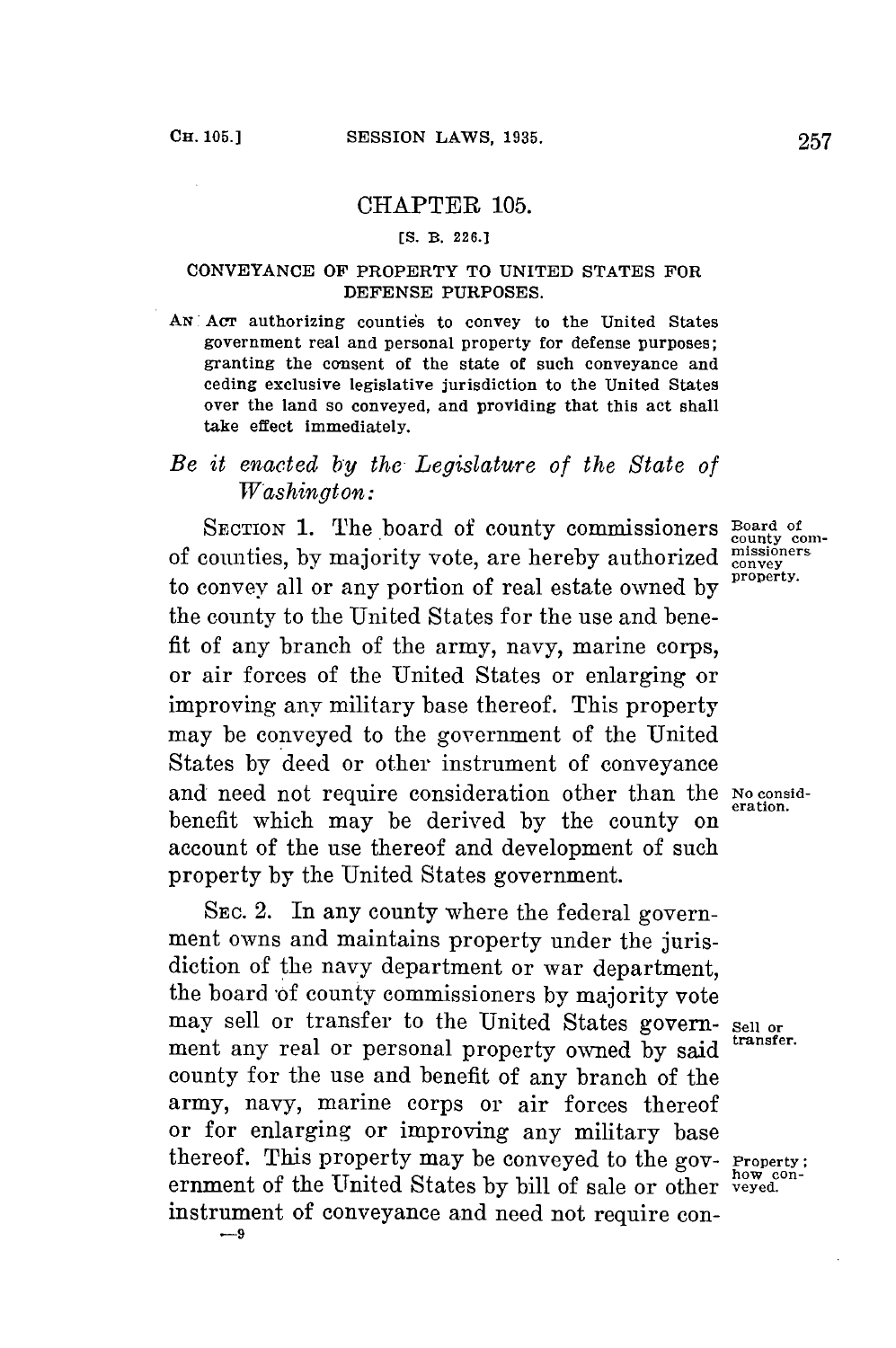## CHAPTER **105.**

## **[S. B. 226.]**

## **CONVEYANCE** OF PROPERTY TO UNITED **STATES** FOR **DEFENSE PURPOSES.**

AN Acr authorizing counties to convey to the United States government real and personal property for defense purposes; granting the consent of the state of such conveyance and ceding exclusive legislative jurisdiction to the United States over the land so conveyed, and providing that this act shall take effect immediately.

## *Be it enacted by the Legislature of the State of Washington:*

SECTION 1. The board of county commissioners **Board of** counties, by majority vote, are hereby authorized  $\frac{\text{missiomer}}{\text{conver}}$ to convey all or any portion of real estate owned **by** property. the county to the United States **for** the use and benefit of any branch of the army, navy, marine corps, or air forces of the United States or enlarging or improving any military base thereof. This property may **be** conveyed to the government of the United States **by** deed or other instrument of conveyance and need not require consideration other than the No considbenefit which may be derived **by** the county on account of the use thereof and development of such property **by** the United States government.

SEC. 2. In any county where the federal government owns and maintains property under the jurisdiction of the navy department or war department, the board 'of county commissioners **by** majority vote may sell or transfer to the United States govern- sell or<br>mont any real or personal proposate served by transfer. ment any real or personal property owned by said county for the use and benefit of any branch of the army, navy, marine corps or air forces thereof or for enlarging or improving any military base<br>thereof. This property may be conveyed to the gov- Property; ernment of the United States by bill of sale or other *veyed*. instrument of conveyance and need not require con- **-9**